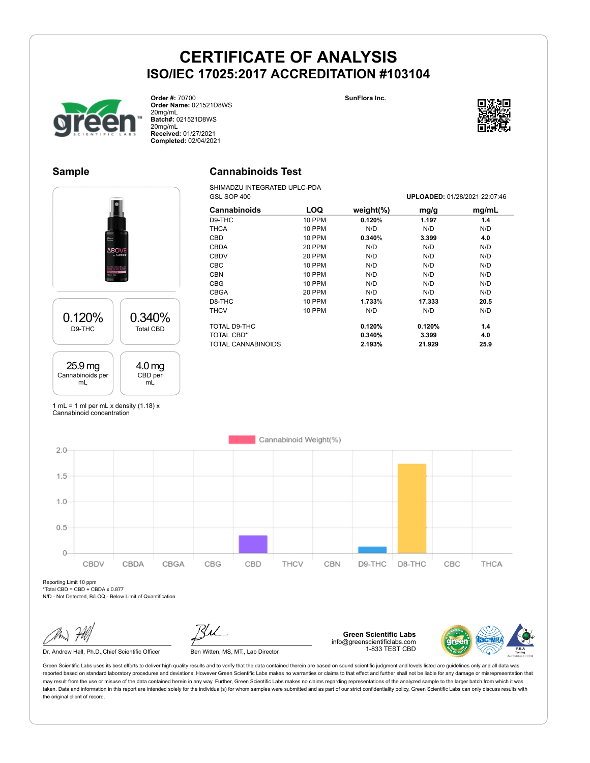**SunFlora Inc.**



**Order #:** 70700 **Order Name:** 021521D8WS 20mg/mL **Batch#:** 021521D8WS 20mg/mL **Received:** 01/27/2021 **Completed:** 02/04/2021

### **Sample**

### **Cannabinoids Test**

SHIMADZU INTEGRATED UPLC-PDA

|                  | GSL SOP 400         |            |               |        | UPLOADED: 01/28/2021 22:07:46 |
|------------------|---------------------|------------|---------------|--------|-------------------------------|
|                  | <b>Cannabinoids</b> | <b>LOQ</b> | weight $(\%)$ | mg/g   | mg/mL                         |
|                  | D9-THC              | 10 PPM     | 0.120%        | 1.197  | 1.4                           |
|                  | <b>THCA</b>         | 10 PPM     | N/D           | N/D    | N/D                           |
|                  | <b>CBD</b>          | 10 PPM     | 0.340%        | 3.399  | 4.0                           |
|                  | <b>CBDA</b>         | 20 PPM     | N/D           | N/D    | N/D                           |
|                  | <b>CBDV</b>         | 20 PPM     | N/D           | N/D    | N/D                           |
|                  | <b>CBC</b>          | 10 PPM     | N/D           | N/D    | N/D                           |
|                  | <b>CBN</b>          | 10 PPM     | N/D           | N/D    | N/D                           |
|                  | <b>CBG</b>          | 10 PPM     | N/D           | N/D    | N/D                           |
|                  | <b>CBGA</b>         | 20 PPM     | N/D           | N/D    | N/D                           |
|                  | D8-THC              | 10 PPM     | 1.733%        | 17.333 | 20.5                          |
| 0.340%           | <b>THCV</b>         | 10 PPM     | N/D           | N/D    | N/D                           |
| <b>Total CBD</b> | TOTAL D9-THC        |            | 0.120%        | 0.120% | 1.4                           |
|                  | <b>TOTAL CBD*</b>   |            | 0.340%        | 3.399  | 4.0                           |
|                  | TOTAL CANNABINOIDS  |            | 2.193%        | 21.929 | 25.9                          |

1 mL = 1 ml per mL x density  $(1.18)$  x Cannabinoid concentration

4.0 mg CBD per mL

0.120% D9-THC

25.9 mg Cannabinoids per mL

Cannabinoid Weight(%)  $2.0$  $1.5$  $1.0$  $0.5$  $\Omega$ CBGA CBG CBD D8-THC CBC CBDV CBDA THCV CBN D9-THC THCA

Reporting Limit 10 ppm  $*$ Total CBD = CBD + CBDA x 0.877

N/D - Not Detected, B/LOQ - Below Limit of Quantification

Dr. Andrew Hall, Ph.D., Chief Scientific Officer Ben Witten, MS, MT., Lab Director

**Green Scientific Labs** info@greenscientificlabs.com 1-833 TEST CBD

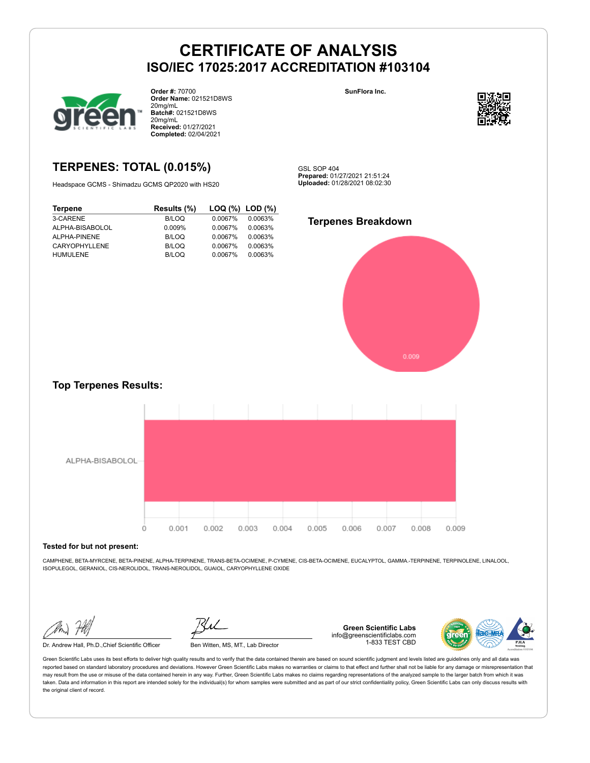

**HUMULENE** 

**Order #:** 70700 **Order Name:** 021521D8WS 20mg/mL **Batch#:** 021521D8WS 20mg/mL **Received:** 01/27/2021 **Completed:** 02/04/2021

## **TERPENES: TOTAL (0.015%)**

Headspace GCMS - Shimadzu GCMS QP2020 with HS20

**Terpene Results (%) LOQ (%) LOD (%)** 3-CARENE B/LOQ 0.0067% 0.0063% ALPHA-BISABOLOL 0.009% 0.0067% 0.0063% ALPHA-PINENE B/LOQ 0.0067% 0.0063% CARYOPHYLLENE B/LOQ 0.0067% 0.0063%<br>
HUMULENE B/LOQ 0.0067% 0.0063%

**SunFlora Inc.**



GSL SOP 404 **Prepared:** 01/27/2021 21:51:24 **Uploaded:** 01/28/2021 08:02:30

### **Terpenes Breakdown**



### **Top Terpenes Results:**



#### **Tested for but not present:**

CAMPHENE, BETA-MYRCENE, BETA-PINENE, ALPHA-TERPINENE, TRANS-BETA-OCIMENE, P-CYMENE, CIS-BETA-OCIMENE, EUCALYPTOL, GAMMA.-TERPINENE, TERPINOLENE, LINALOOL, ISOPULEGOL, GERANIOL, CIS-NEROLIDOL, TRANS-NEROLIDOL, GUAIOL, CARYOPHYLLENE OXIDE

Dr. Andrew Hall, Ph.D.,Chief Scientific Officer Ben Witten, MS, MT., Lab Director

**Green Scientific Labs** info@greenscientificlabs.com 1-833 TEST CBD

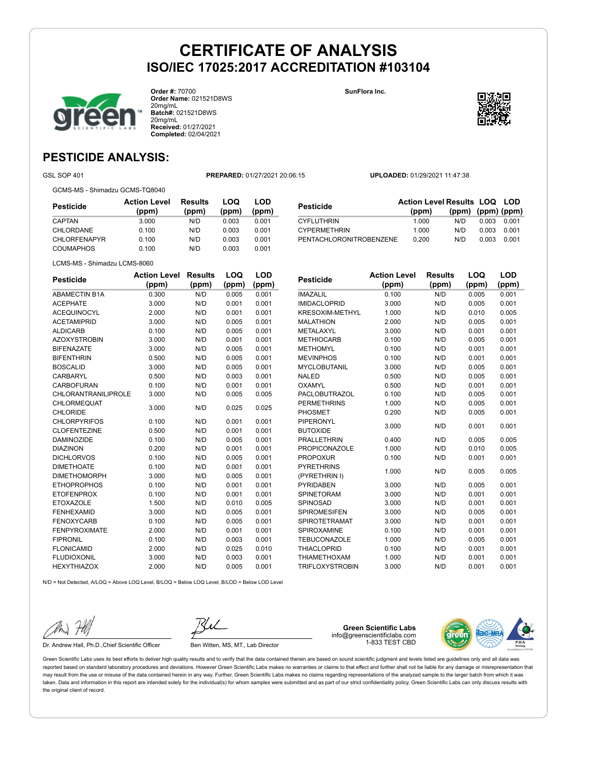

**Order #:** 70700 **Order Name:** 021521D8WS 20mg/mL **Batch#:** 021521D8WS 20mg/mL **Received:** 01/27/2021 **Completed:** 02/04/2021

**SunFlora Inc.**



## **PESTICIDE ANALYSIS:**

GSL SOP 401 **PREPARED:** 01/27/2021 20:06:15 **UPLOADED:** 01/29/2021 11:47:38

GCMS-MS - Shimadzu GCMS-TQ8040

| Pesticide    | <b>Action Level</b><br>(ppm) | <b>Results</b><br>(ppm) | LOQ<br>(ppm) | LOD<br>(ppm) |
|--------------|------------------------------|-------------------------|--------------|--------------|
| CAPTAN       | 3.000                        | N/D                     | 0.003        | 0.001        |
| CHLORDANE    | 0.100                        | N/D                     | 0.003        | 0.001        |
| CHLORFENAPYR | 0.100                        | N/D                     | 0.003        | 0.001        |
| COUMAPHOS    | 0.100                        | N/D                     | 0.003        | 0.001        |

|                         | <b>Action Level Results LOQ LOD</b> |                   |       |       |
|-------------------------|-------------------------------------|-------------------|-------|-------|
| <b>Pesticide</b>        | (ppm)                               | (ppm) (ppm) (ppm) |       |       |
| <b>CYFLUTHRIN</b>       | 1.000                               | N/D               | 0.003 | 0.001 |
| <b>CYPERMETHRIN</b>     | 1.000                               | N/D               | 0.003 | 0.001 |
| PENTACHLORONITROBENZENE | 0.200                               | N/D               | 0.003 | 0.001 |

LCMS-MS - Shimadzu LCMS-8060

| <b>Pesticide</b>           | <b>Action Level</b> | <b>Results</b> | LOQ   | <b>LOD</b> |
|----------------------------|---------------------|----------------|-------|------------|
|                            | (ppm)               | (ppm)          | (ppm) | (ppm)      |
| <b>ABAMECTIN B1A</b>       | 0.300               | N/D            | 0.005 | 0.001      |
| <b>ACEPHATE</b>            | 3.000               | N/D            | 0.001 | 0.001      |
| <b>ACEQUINOCYL</b>         | 2.000               | N/D            | 0.001 | 0.001      |
| <b>ACETAMIPRID</b>         | 3.000               | N/D            | 0.005 | 0.001      |
| <b>ALDICARB</b>            | 0.100               | N/D            | 0.005 | 0.001      |
| <b>AZOXYSTROBIN</b>        | 3.000               | N/D            | 0.001 | 0.001      |
| <b>BIFENAZATE</b>          | 3.000               | N/D            | 0.005 | 0.001      |
| <b>BIFENTHRIN</b>          | 0.500               | N/D            | 0.005 | 0.001      |
| <b>BOSCALID</b>            | 3.000               | N/D            | 0.005 | 0.001      |
| <b>CARBARYL</b>            | 0.500               | N/D            | 0.003 | 0.001      |
| <b>CARBOFURAN</b>          | 0.100               | N/D            | 0.001 | 0.001      |
| <b>CHLORANTRANILIPROLE</b> | 3.000               | N/D            | 0.005 | 0.005      |
| CHLORMEQUAT                | 3.000               | N/D            | 0.025 | 0.025      |
| <b>CHLORIDE</b>            |                     |                |       |            |
| <b>CHLORPYRIFOS</b>        | 0.100               | N/D            | 0.001 | 0.001      |
| <b>CLOFENTEZINE</b>        | 0.500               | N/D            | 0.001 | 0.001      |
| <b>DAMINOZIDE</b>          | 0.100               | N/D            | 0.005 | 0.001      |
| <b>DIAZINON</b>            | 0.200               | N/D            | 0.001 | 0.001      |
| <b>DICHLORVOS</b>          | 0.100               | N/D            | 0.005 | 0.001      |
| <b>DIMETHOATE</b>          | 0.100               | N/D            | 0.001 | 0.001      |
| <b>DIMETHOMORPH</b>        | 3.000               | N/D            | 0.005 | 0.001      |
| <b>ETHOPROPHOS</b>         | 0.100               | N/D            | 0.001 | 0.001      |
| <b>ETOFENPROX</b>          | 0.100               | N/D            | 0.001 | 0.001      |
| <b>ETOXAZOLE</b>           | 1.500               | N/D            | 0.010 | 0.005      |
| <b>FENHEXAMID</b>          | 3.000               | N/D            | 0.005 | 0.001      |
| <b>FENOXYCARB</b>          | 0.100               | N/D            | 0.005 | 0.001      |
| <b>FENPYROXIMATE</b>       | 2.000               | N/D            | 0.001 | 0.001      |
| <b>FIPRONIL</b>            | 0.100               | N/D            | 0.003 | 0.001      |
| <b>FLONICAMID</b>          | 2.000               | N/D            | 0.025 | 0.010      |
| <b>FLUDIOXONIL</b>         | 3.000               | N/D            | 0.003 | 0.001      |
| <b>HEXYTHIAZOX</b>         | 2.000               | N/D            | 0.005 | 0.001      |
|                            |                     |                |       |            |

| <b>Pesticide</b>       | Action Level | <b>Results</b> | LOQ   | LOD   |
|------------------------|--------------|----------------|-------|-------|
|                        | (ppm)        | (ppm)          | (ppm) | (ppm) |
| <b>IMAZALIL</b>        | 0.100        | N/D            | 0.005 | 0.001 |
| <b>IMIDACLOPRID</b>    | 3.000        | N/D            | 0.005 | 0.001 |
| <b>KRESOXIM-METHYL</b> | 1.000        | N/D            | 0.010 | 0.005 |
| <b>MALATHION</b>       | 2.000        | N/D            | 0.005 | 0.001 |
| <b>METALAXYL</b>       | 3.000        | N/D            | 0.001 | 0.001 |
| <b>METHIOCARB</b>      | 0.100        | N/D            | 0.005 | 0.001 |
| <b>METHOMYL</b>        | 0.100        | N/D            | 0.001 | 0.001 |
| <b>MEVINPHOS</b>       | 0.100        | N/D            | 0.001 | 0.001 |
| <b>MYCLOBUTANIL</b>    | 3.000        | N/D            | 0.005 | 0.001 |
| <b>NALED</b>           | 0.500        | N/D            | 0.005 | 0.001 |
| OXAMYL                 | 0.500        | N/D            | 0.001 | 0.001 |
| PACLOBUTRAZOL          | 0.100        | N/D            | 0.005 | 0.001 |
| <b>PERMETHRINS</b>     | 1.000        | N/D            | 0.005 | 0.001 |
| <b>PHOSMET</b>         | 0.200        | N/D            | 0.005 | 0.001 |
| <b>PIPERONYL</b>       | 3.000        | N/D            | 0.001 | 0.001 |
| <b>BUTOXIDE</b>        |              |                |       |       |
| <b>PRALLETHRIN</b>     | 0.400        | N/D            | 0.005 | 0.005 |
| <b>PROPICONAZOLE</b>   | 1.000        | N/D            | 0.010 | 0.005 |
| <b>PROPOXUR</b>        | 0.100        | N/D            | 0.001 | 0.001 |
| <b>PYRETHRINS</b>      | 1.000        | N/D            | 0.005 | 0.005 |
| (PYRETHRIN I)          |              |                |       |       |
| <b>PYRIDABEN</b>       | 3.000        | N/D            | 0.005 | 0.001 |
| <b>SPINETORAM</b>      | 3.000        | N/D            | 0.001 | 0.001 |
| SPINOSAD               | 3.000        | N/D            | 0.001 | 0.001 |
| <b>SPIROMESIFEN</b>    | 3.000        | N/D            | 0.005 | 0.001 |
| <b>SPIROTETRAMAT</b>   | 3.000        | N/D            | 0.001 | 0.001 |
| SPIROXAMINE            | 0.100        | N/D            | 0.001 | 0.001 |
| <b>TEBUCONAZOLE</b>    | 1.000        | N/D            | 0.005 | 0.001 |
| <b>THIACLOPRID</b>     | 0.100        | N/D            | 0.001 | 0.001 |
| <b>THIAMETHOXAM</b>    | 1.000        | N/D            | 0.001 | 0.001 |
| <b>TRIFLOXYSTROBIN</b> | 3.000        | N/D            | 0.001 | 0.001 |

N/D = Not Detected, A/LOQ = Above LOQ Level, B/LOQ = Below LOQ Level, B/LOD = Below LOD Level

Dr. Andrew Hall, Ph.D., Chief Scientific Officer Ben Witten, MS, MT., Lab Director

**Green Scientific Labs** info@greenscientificlabs.com 1-833 TEST CBD

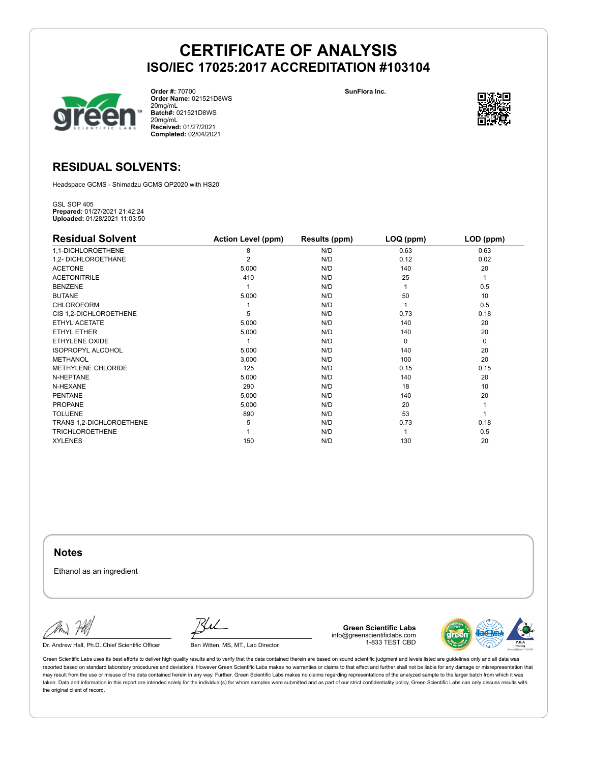

**Order #:** 70700 **Order Name:** 021521D8WS 20mg/mL **Batch#:** 021521D8WS 20mg/mL **Received:** 01/27/2021 **Completed:** 02/04/2021

**SunFlora Inc.**



### **RESIDUAL SOLVENTS:**

Headspace GCMS - Shimadzu GCMS QP2020 with HS20

GSL SOP 405 **Prepared:** 01/27/2021 21:42:24 **Uploaded:** 01/28/2021 11:03:50

| <b>Residual Solvent</b>  | <b>Action Level (ppm)</b> | Results (ppm) | LOQ (ppm) | LOD (ppm)   |
|--------------------------|---------------------------|---------------|-----------|-------------|
| 1,1-DICHLOROETHENE       | 8                         | N/D           | 0.63      | 0.63        |
| 1,2- DICHLOROETHANE      | $\overline{2}$            | N/D           | 0.12      | 0.02        |
| <b>ACETONE</b>           | 5,000                     | N/D           | 140       | 20          |
| <b>ACETONITRILE</b>      | 410                       | N/D           | 25        | 1           |
| <b>BENZENE</b>           |                           | N/D           |           | 0.5         |
| <b>BUTANE</b>            | 5,000                     | N/D           | 50        | 10          |
| <b>CHLOROFORM</b>        |                           | N/D           |           | 0.5         |
| CIS 1,2-DICHLOROETHENE   | 5                         | N/D           | 0.73      | 0.18        |
| ETHYL ACETATE            | 5,000                     | N/D           | 140       | 20          |
| ETHYL ETHER              | 5,000                     | N/D           | 140       | 20          |
| ETHYLENE OXIDE           |                           | N/D           | $\Omega$  | $\mathbf 0$ |
| <b>ISOPROPYL ALCOHOL</b> | 5,000                     | N/D           | 140       | 20          |
| <b>METHANOL</b>          | 3,000                     | N/D           | 100       | 20          |
| METHYLENE CHLORIDE       | 125                       | N/D           | 0.15      | 0.15        |
| N-HEPTANE                | 5,000                     | N/D           | 140       | 20          |
| N-HEXANE                 | 290                       | N/D           | 18        | 10          |
| <b>PENTANE</b>           | 5,000                     | N/D           | 140       | 20          |
| <b>PROPANE</b>           | 5,000                     | N/D           | 20        |             |
| <b>TOLUENE</b>           | 890                       | N/D           | 53        |             |
| TRANS 1,2-DICHLOROETHENE | 5                         | N/D           | 0.73      | 0.18        |
| <b>TRICHLOROETHENE</b>   |                           | N/D           |           | 0.5         |
| <b>XYLENES</b>           | 150                       | N/D           | 130       | 20          |

**Notes**

Ethanol as an ingredient

Dr. Andrew Hall, Ph.D., Chief Scientific Officer Ben Witten, MS, MT., Lab Director

**Green Scientific Labs** info@greenscientificlabs.com 1-833 TEST CBD

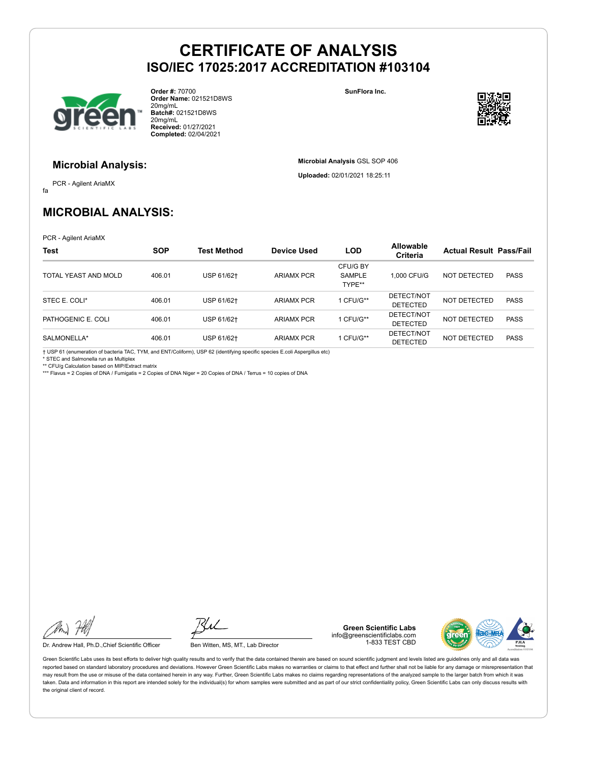

**Order #:** 70700 **Order Name:** 021521D8WS 20mg/mL **Batch#:** 021521D8WS 20mg/mL **Received:** 01/27/2021 **Completed:** 02/04/2021

**SunFlora Inc.**

**Microbial Analysis** GSL SOP 406 **Uploaded:** 02/01/2021 18:25:11



#### **Microbial Analysis:**

fa PCR - Agilent AriaMX

## **MICROBIAL ANALYSIS:**

PCR - Agilent AriaMX

| <b>Test</b>          | <b>SOP</b> | <b>Test Method</b> | Device Used       | <b>LOD</b>                   | <b>Allowable</b><br>Criteria  | <b>Actual Result Pass/Fail</b> |             |
|----------------------|------------|--------------------|-------------------|------------------------------|-------------------------------|--------------------------------|-------------|
| TOTAL YEAST AND MOLD | 406.01     | USP 61/62+         | <b>ARIAMX PCR</b> | CFU/G BY<br>SAMPLE<br>TYPE** | 1.000 CFU/G                   | NOT DETECTED                   | <b>PASS</b> |
| STEC E. COLI*        | 406.01     | USP 61/62+         | <b>ARIAMX PCR</b> | 1 CFU/G**                    | DETECT/NOT<br><b>DETECTED</b> | NOT DETECTED                   | <b>PASS</b> |
| PATHOGENIC E. COLI   | 406.01     | USP 61/62+         | <b>ARIAMX PCR</b> | 1 CFU/G**                    | DETECT/NOT<br><b>DETECTED</b> | NOT DETECTED                   | <b>PASS</b> |
| SALMONELLA*          | 406.01     | USP 61/62+         | <b>ARIAMX PCR</b> | 1 CFU/G**                    | DETECT/NOT<br><b>DETECTED</b> | NOT DETECTED                   | <b>PASS</b> |

† USP 61 (enumeration of bacteria TAC, TYM, and ENT/Coliform), USP 62 (identifying specific species E.coli Aspergillus etc) \* STEC and Salmonella run as Multiplex

\*\* CFU/g Calculation based on MIP/Extract matrix \*\*\* Flavus = 2 Copies of DNA / Fumigatis = 2 Copies of DNA Niger = 20 Copies of DNA / Terrus = 10 copies of DNA

Dr. Andrew Hall, Ph.D., Chief Scientific Officer Ben Witten, MS, MT., Lab Director

**Green Scientific Labs** info@greenscientificlabs.com 1-833 TEST CBD